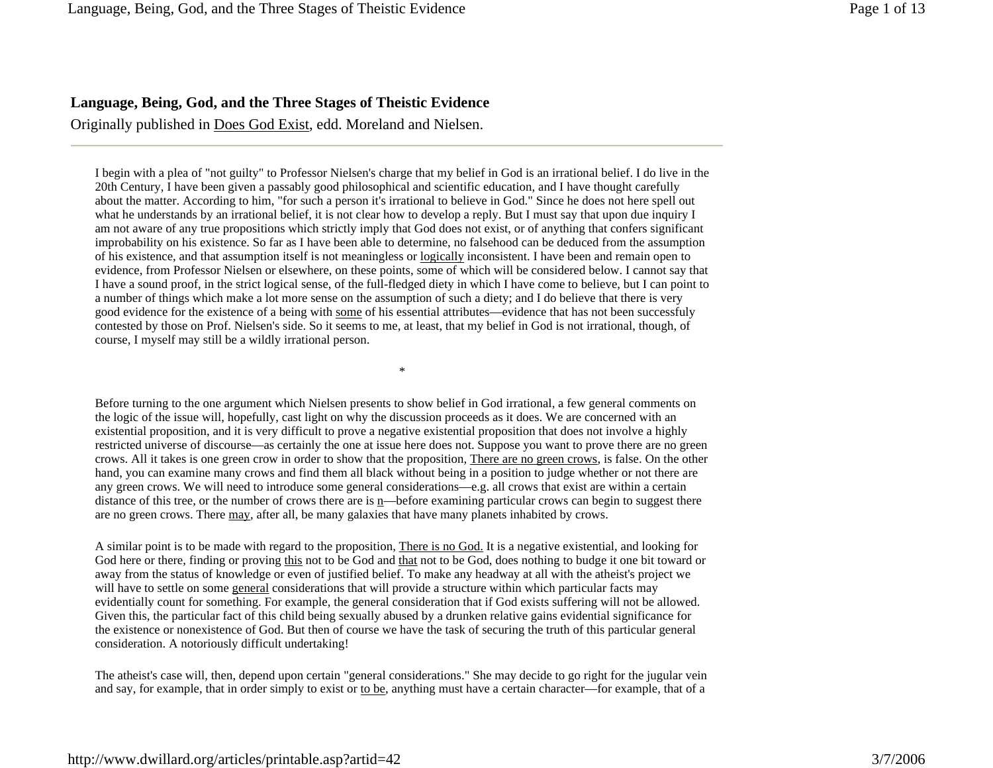## **Language, Being, God, and the Three Stages of Theistic Evidence**

Originally published in Does God Exist, edd. Moreland and Nielsen.

I begin with a plea of "not guilty" to Professor Nielsen's charge that my belief in God is an irrational belief. I do live in the 20th Century, I have been given a passably good philosophical and scientific education, and I have thought carefully about the matter. According to him, "for such a person it's irrational to believe in God." Since he does not here spell out what he understands by an irrational belief, it is not clear how to develop a reply. But I must say that upon due inquiry I am not aware of any true propositions which strictly imply that God does not exist, or of anything that confers significant improbability on his existence. So far as I have been able to determine, no falsehood can be deduced from the assumption of his existence, and that assumption itself is not meaningless or logically inconsistent. I have been and remain open to evidence, from Professor Nielsen or elsewhere, on these points, some of which will be considered below. I cannot say that I have a sound proof, in the strict logical sense, of the full-fledged diety in which I have come to believe, but I can point to a number of things which make a lot more sense on the assumption of such a diety; and I do believe that there is very good evidence for the existence of a being with some of his essential attributes—evidence that has not been successfuly contested by those on Prof. Nielsen's side. So it seems to me, at least, that my belief in God is not irrational, though, of course, I myself may still be a wildly irrational person.

\*

Before turning to the one argument which Nielsen presents to show belief in God irrational, a few general comments on the logic of the issue will, hopefully, cast light on why the discussion proceeds as it does. We are concerned with an existential proposition, and it is very difficult to prove a negative existential proposition that does not involve a highly restricted universe of discourse—as certainly the one at issue here does not. Suppose you want to prove there are no green crows. All it takes is one green crow in order to show that the proposition, There are no green crows, is false. On the other hand, you can examine many crows and find them all black without being in a position to judge whether or not there are any green crows. We will need to introduce some general considerations—e.g. all crows that exist are within a certain distance of this tree, or the number of crows there are is n—before examining particular crows can begin to suggest there are no green crows. There may, after all, be many galaxies that have many planets inhabited by crows.

A similar point is to be made with regard to the proposition, There is no God. It is a negative existential, and looking for God here or there, finding or proving this not to be God and that not to be God, does nothing to budge it one bit toward or away from the status of knowledge or even of justified belief. To make any headway at all with the atheist's project we will have to settle on some general considerations that will provide a structure within which particular facts may evidentially count for something. For example, the general consideration that if God exists suffering will not be allowed. Given this, the particular fact of this child being sexually abused by a drunken relative gains evidential significance for the existence or nonexistence of God. But then of course we have the task of securing the truth of this particular general consideration. A notoriously difficult undertaking!

The atheist's case will, then, depend upon certain "general considerations." She may decide to go right for the jugular vein and say, for example, that in order simply to exist or to be, anything must have a certain character—for example, that of a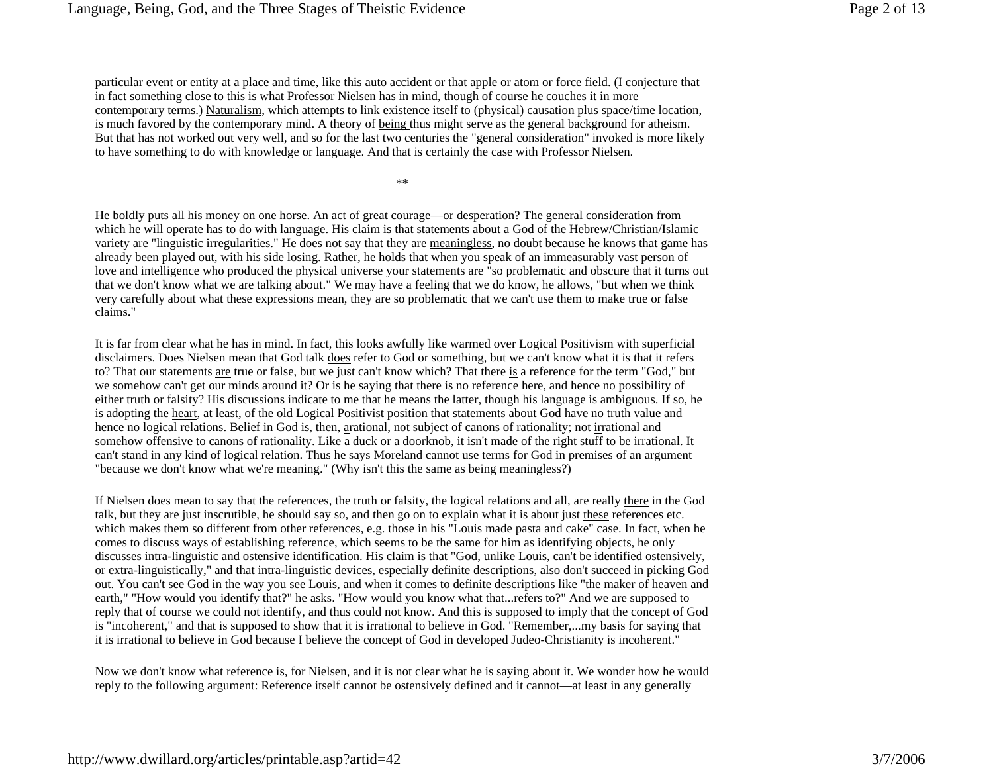particular event or entity at a place and time, like this auto accident or that apple or atom or force field. (I conjecture that in fact something close to this is what Professor Nielsen has in mind, though of course he couches it in more contemporary terms.) Naturalism, which attempts to link existence itself to (physical) causation plus space/time location, is much favored by the contemporary mind. A theory of being thus might serve as the general background for atheism. But that has not worked out very well, and so for the last two centuries the "general consideration" invoked is more likely to have something to do with knowledge or language. And that is certainly the case with Professor Nielsen.

\*\*

He boldly puts all his money on one horse. An act of great courage—or desperation? The general consideration from which he will operate has to do with language. His claim is that statements about a God of the Hebrew/Christian/Islamic variety are "linguistic irregularities." He does not say that they are meaningless, no doubt because he knows that game has already been played out, with his side losing. Rather, he holds that when you speak of an immeasurably vast person of love and intelligence who produced the physical universe your statements are "so problematic and obscure that it turns out that we don't know what we are talking about." We may have a feeling that we do know, he allows, "but when we think very carefully about what these expressions mean, they are so problematic that we can't use them to make true or false claims."

It is far from clear what he has in mind. In fact, this looks awfully like warmed over Logical Positivism with superficial disclaimers. Does Nielsen mean that God talk does refer to God or something, but we can't know what it is that it refers to? That our statements are true or false, but we just can't know which? That there is a reference for the term "God," but we somehow can't get our minds around it? Or is he saying that there is no reference here, and hence no possibility of either truth or falsity? His discussions indicate to me that he means the latter, though his language is ambiguous. If so, he is adopting the heart, at least, of the old Logical Positivist position that statements about God have no truth value and hence no logical relations. Belief in God is, then, arational, not subject of canons of rationality; not irrational and somehow offensive to canons of rationality. Like a duck or a doorknob, it isn't made of the right stuff to be irrational. It can't stand in any kind of logical relation. Thus he says Moreland cannot use terms for God in premises of an argument "because we don't know what we're meaning." (Why isn't this the same as being meaningless?)

If Nielsen does mean to say that the references, the truth or falsity, the logical relations and all, are really there in the God talk, but they are just inscrutible, he should say so, and then go on to explain what it is about just these references etc. which makes them so different from other references, e.g. those in his "Louis made pasta and cake" case. In fact, when he comes to discuss ways of establishing reference, which seems to be the same for him as identifying objects, he only discusses intra-linguistic and ostensive identification. His claim is that "God, unlike Louis, can't be identified ostensively, or extra-linguistically," and that intra-linguistic devices, especially definite descriptions, also don't succeed in picking God out. You can't see God in the way you see Louis, and when it comes to definite descriptions like "the maker of heaven and earth," "How would you identify that?" he asks. "How would you know what that...refers to?" And we are supposed to reply that of course we could not identify, and thus could not know. And this is supposed to imply that the concept of God is "incoherent," and that is supposed to show that it is irrational to believe in God. "Remember,...my basis for saying that it is irrational to believe in God because I believe the concept of God in developed Judeo-Christianity is incoherent."

Now we don't know what reference is, for Nielsen, and it is not clear what he is saying about it. We wonder how he would reply to the following argument: Reference itself cannot be ostensively defined and it cannot—at least in any generally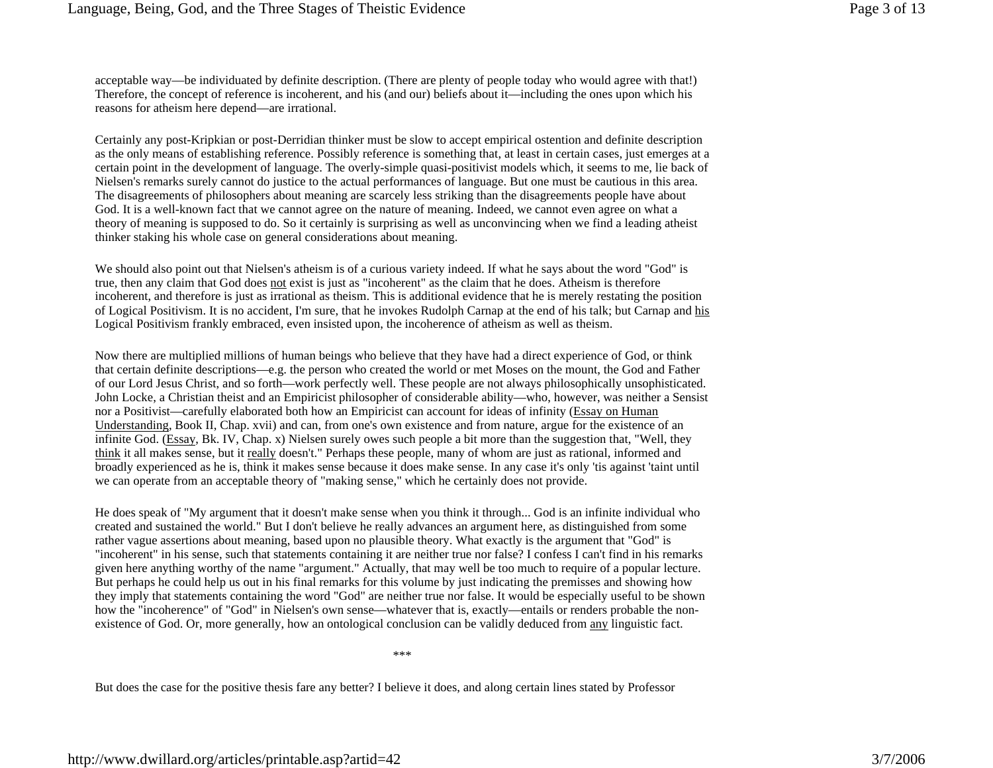acceptable way—be individuated by definite description. (There are plenty of people today who would agree with that!) Therefore, the concept of reference is incoherent, and his (and our) beliefs about it—including the ones upon which his reasons for atheism here depend—are irrational.

Certainly any post-Kripkian or post-Derridian thinker must be slow to accept empirical ostention and definite description as the only means of establishing reference. Possibly reference is something that, at least in certain cases, just emerges at a certain point in the development of language. The overly-simple quasi-positivist models which, it seems to me, lie back of Nielsen's remarks surely cannot do justice to the actual performances of language. But one must be cautious in this area. The disagreements of philosophers about meaning are scarcely less striking than the disagreements people have about God. It is a well-known fact that we cannot agree on the nature of meaning. Indeed, we cannot even agree on what a theory of meaning is supposed to do. So it certainly is surprising as well as unconvincing when we find a leading atheist thinker staking his whole case on general considerations about meaning.

We should also point out that Nielsen's atheism is of a curious variety indeed. If what he says about the word "God" is true, then any claim that God does not exist is just as "incoherent" as the claim that he does. Atheism is therefore incoherent, and therefore is just as irrational as theism. This is additional evidence that he is merely restating the position of Logical Positivism. It is no accident, I'm sure, that he invokes Rudolph Carnap at the end of his talk; but Carnap and his Logical Positivism frankly embraced, even insisted upon, the incoherence of atheism as well as theism.

Now there are multiplied millions of human beings who believe that they have had a direct experience of God, or think that certain definite descriptions—e.g. the person who created the world or met Moses on the mount, the God and Father of our Lord Jesus Christ, and so forth—work perfectly well. These people are not always philosophically unsophisticated. John Locke, a Christian theist and an Empiricist philosopher of considerable ability—who, however, was neither a Sensist nor a Positivist—carefully elaborated both how an Empiricist can account for ideas of infinity (Essay on Human Understanding, Book II, Chap. xvii) and can, from one's own existence and from nature, argue for the existence of an infinite God. (Essay, Bk. IV, Chap. x) Nielsen surely owes such people a bit more than the suggestion that, "Well, they think it all makes sense, but it really doesn't." Perhaps these people, many of whom are just as rational, informed and broadly experienced as he is, think it makes sense because it does make sense. In any case it's only 'tis against 'taint until we can operate from an acceptable theory of "making sense," which he certainly does not provide.

He does speak of "My argument that it doesn't make sense when you think it through... God is an infinite individual who created and sustained the world." But I don't believe he really advances an argument here, as distinguished from some rather vague assertions about meaning, based upon no plausible theory. What exactly is the argument that "God" is "incoherent" in his sense, such that statements containing it are neither true nor false? I confess I can't find in his remarks given here anything worthy of the name "argument." Actually, that may well be too much to require of a popular lecture. But perhaps he could help us out in his final remarks for this volume by just indicating the premisses and showing how they imply that statements containing the word "God" are neither true nor false. It would be especially useful to be shown how the "incoherence" of "God" in Nielsen's own sense—whatever that is, exactly—entails or renders probable the nonexistence of God. Or, more generally, how an ontological conclusion can be validly deduced from any linguistic fact.

\*\*\*

But does the case for the positive thesis fare any better? I believe it does, and along certain lines stated by Professor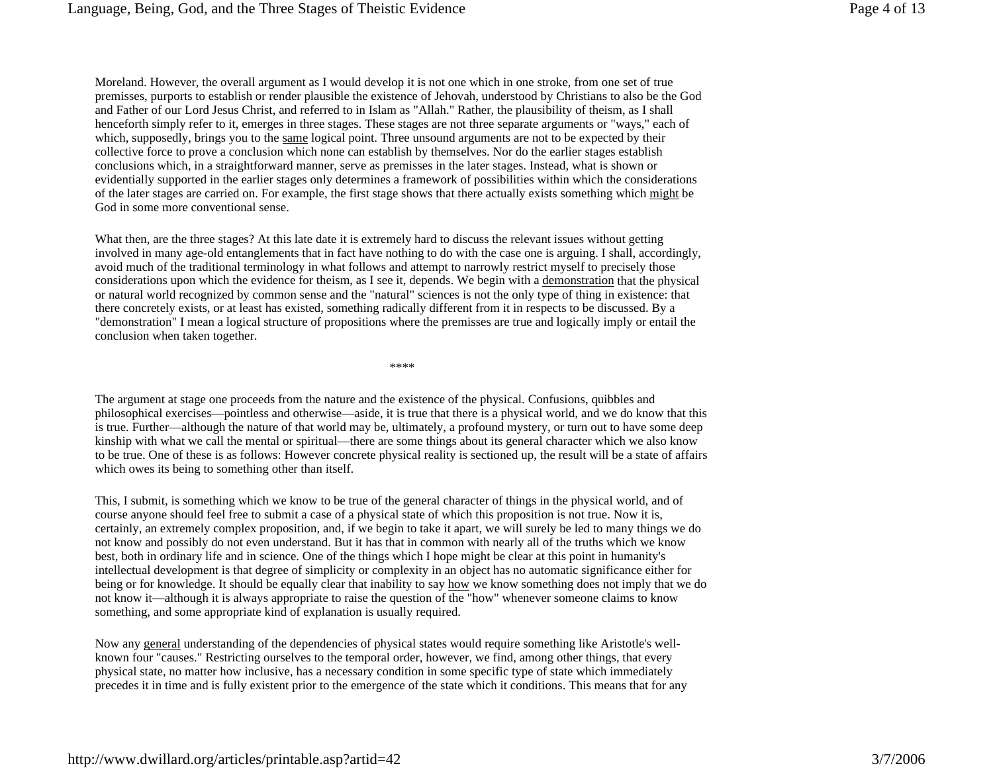Moreland. However, the overall argument as I would develop it is not one which in one stroke, from one set of true premisses, purports to establish or render plausible the existence of Jehovah, understood by Christians to also be the God and Father of our Lord Jesus Christ, and referred to in Islam as "Allah." Rather, the plausibility of theism, as I shall henceforth simply refer to it, emerges in three stages. These stages are not three separate arguments or "ways," each of which, supposedly, brings you to the same logical point. Three unsound arguments are not to be expected by their collective force to prove a conclusion which none can establish by themselves. Nor do the earlier stages establish conclusions which, in a straightforward manner, serve as premisses in the later stages. Instead, what is shown or evidentially supported in the earlier stages only determines a framework of possibilities within which the considerations of the later stages are carried on. For example, the first stage shows that there actually exists something which might be God in some more conventional sense.

What then, are the three stages? At this late date it is extremely hard to discuss the relevant issues without getting involved in many age-old entanglements that in fact have nothing to do with the case one is arguing. I shall, accordingly, avoid much of the traditional terminology in what follows and attempt to narrowly restrict myself to precisely those considerations upon which the evidence for theism, as I see it, depends. We begin with a demonstration that the physical or natural world recognized by common sense and the "natural" sciences is not the only type of thing in existence: that there concretely exists, or at least has existed, something radically different from it in respects to be discussed. By a "demonstration" I mean a logical structure of propositions where the premisses are true and logically imply or entail the conclusion when taken together.

\*\*\*\*

The argument at stage one proceeds from the nature and the existence of the physical. Confusions, quibbles and philosophical exercises—pointless and otherwise—aside, it is true that there is a physical world, and we do know that this is true. Further—although the nature of that world may be, ultimately, a profound mystery, or turn out to have some deep kinship with what we call the mental or spiritual—there are some things about its general character which we also know to be true. One of these is as follows: However concrete physical reality is sectioned up, the result will be a state of affairs which owes its being to something other than itself.

This, I submit, is something which we know to be true of the general character of things in the physical world, and of course anyone should feel free to submit a case of a physical state of which this proposition is not true. Now it is, certainly, an extremely complex proposition, and, if we begin to take it apart, we will surely be led to many things we do not know and possibly do not even understand. But it has that in common with nearly all of the truths which we know best, both in ordinary life and in science. One of the things which I hope might be clear at this point in humanity's intellectual development is that degree of simplicity or complexity in an object has no automatic significance either for being or for knowledge. It should be equally clear that inability to say how we know something does not imply that we do not know it—although it is always appropriate to raise the question of the "how" whenever someone claims to know something, and some appropriate kind of explanation is usually required.

Now any general understanding of the dependencies of physical states would require something like Aristotle's wellknown four "causes." Restricting ourselves to the temporal order, however, we find, among other things, that every physical state, no matter how inclusive, has a necessary condition in some specific type of state which immediately precedes it in time and is fully existent prior to the emergence of the state which it conditions. This means that for any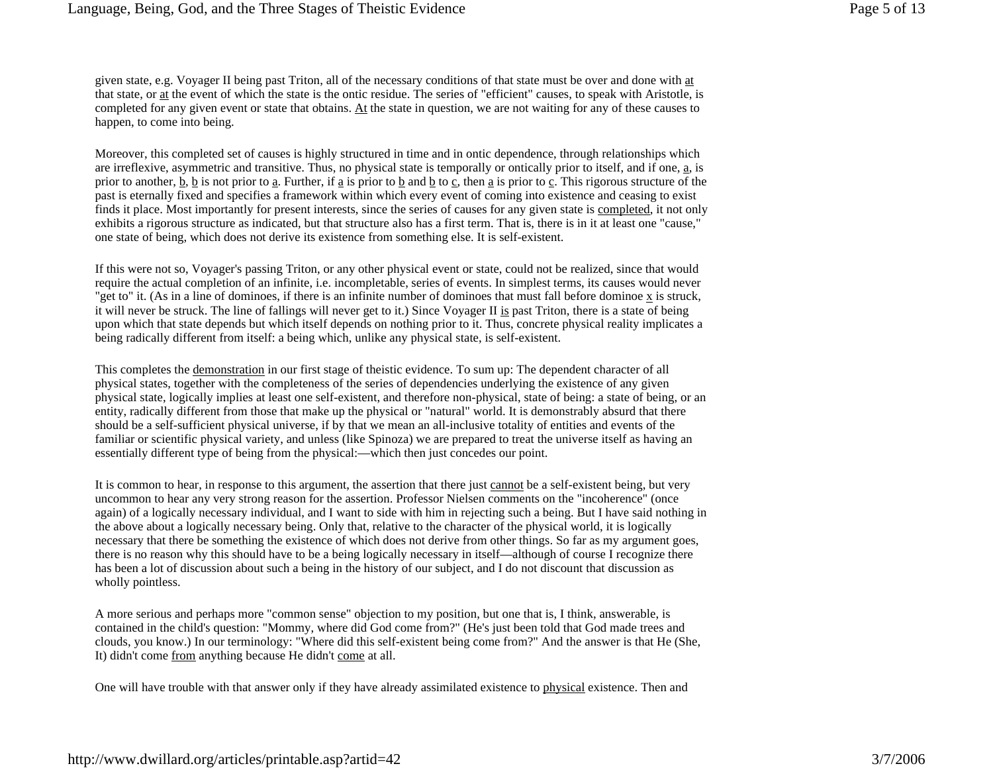given state, e.g. Voyager II being past Triton, all of the necessary conditions of that state must be over and done with at that state, or at the event of which the state is the ontic residue. The series of "efficient" causes, to speak with Aristotle, is completed for any given event or state that obtains. At the state in question, we are not waiting for any of these causes to happen, to come into being.

Moreover, this completed set of causes is highly structured in time and in ontic dependence, through relationships which are irreflexive, asymmetric and transitive. Thus, no physical state is temporally or ontically prior to itself, and if one, a, is prior to another, b, b is not prior to a. Further, if a is prior to b and b to c, then a is prior to c. This rigorous structure of the past is eternally fixed and specifies a framework within which every event of coming into existence and ceasing to exist finds it place. Most importantly for present interests, since the series of causes for any given state is completed, it not only exhibits a rigorous structure as indicated, but that structure also has a first term. That is, there is in it at least one "cause," one state of being, which does not derive its existence from something else. It is self-existent.

If this were not so, Voyager's passing Triton, or any other physical event or state, could not be realized, since that would require the actual completion of an infinite, i.e. incompletable, series of events. In simplest terms, its causes would never "get to" it. (As in a line of dominoes, if there is an infinite number of dominoes that must fall before dominoe x is struck, it will never be struck. The line of fallings will never get to it.) Since Voyager II is past Triton, there is a state of being upon which that state depends but which itself depends on nothing prior to it. Thus, concrete physical reality implicates a being radically different from itself: a being which, unlike any physical state, is self-existent.

This completes the demonstration in our first stage of theistic evidence. To sum up: The dependent character of all physical states, together with the completeness of the series of dependencies underlying the existence of any given physical state, logically implies at least one self-existent, and therefore non-physical, state of being: a state of being, or an entity, radically different from those that make up the physical or "natural" world. It is demonstrably absurd that there should be a self-sufficient physical universe, if by that we mean an all-inclusive totality of entities and events of the familiar or scientific physical variety, and unless (like Spinoza) we are prepared to treat the universe itself as having an essentially different type of being from the physical:—which then just concedes our point.

It is common to hear, in response to this argument, the assertion that there just cannot be a self-existent being, but very uncommon to hear any very strong reason for the assertion. Professor Nielsen comments on the "incoherence" (once again) of a logically necessary individual, and I want to side with him in rejecting such a being. But I have said nothing in the above about a logically necessary being. Only that, relative to the character of the physical world, it is logically necessary that there be something the existence of which does not derive from other things. So far as my argument goes, there is no reason why this should have to be a being logically necessary in itself—although of course I recognize there has been a lot of discussion about such a being in the history of our subject, and I do not discount that discussion as wholly pointless.

A more serious and perhaps more "common sense" objection to my position, but one that is, I think, answerable, is contained in the child's question: "Mommy, where did God come from?" (He's just been told that God made trees and clouds, you know.) In our terminology: "Where did this self-existent being come from?" And the answer is that He (She, It) didn't come from anything because He didn't come at all.

One will have trouble with that answer only if they have already assimilated existence to physical existence. Then and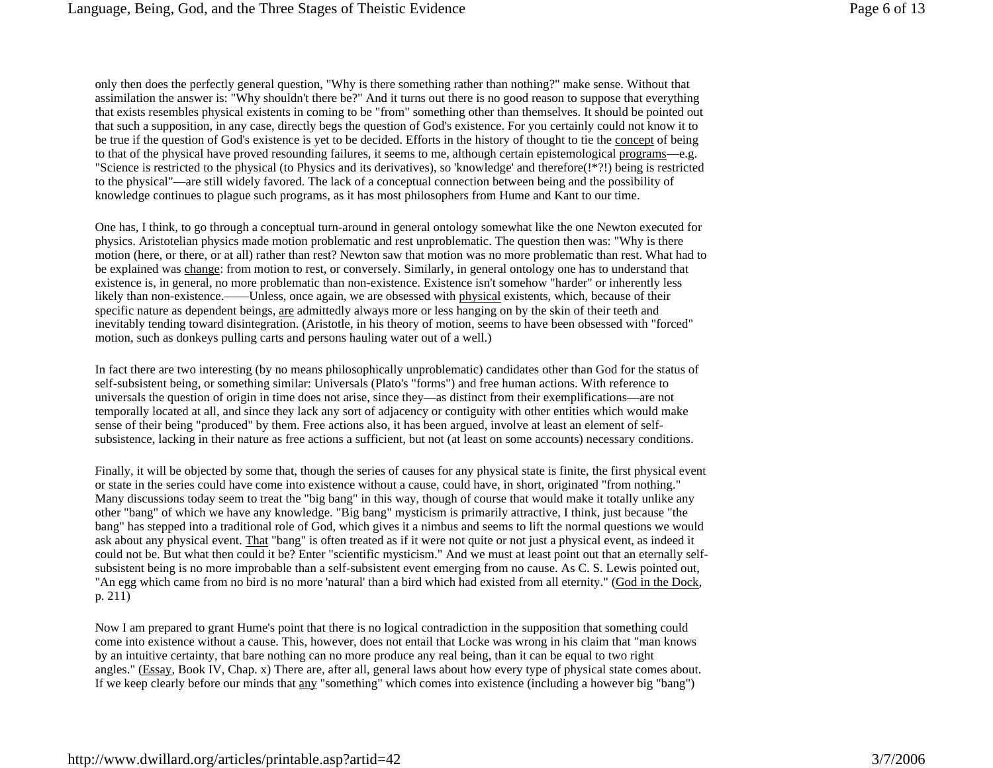only then does the perfectly general question, "Why is there something rather than nothing?" make sense. Without that assimilation the answer is: "Why shouldn't there be?" And it turns out there is no good reason to suppose that everything that exists resembles physical existents in coming to be "from" something other than themselves. It should be pointed out that such a supposition, in any case, directly begs the question of God's existence. For you certainly could not know it to be true if the question of God's existence is yet to be decided. Efforts in the history of thought to tie the concept of being to that of the physical have proved resounding failures, it seems to me, although certain epistemological programs—e.g. "Science is restricted to the physical (to Physics and its derivatives), so 'knowledge' and therefore(!\*?!) being is restricted to the physical"—are still widely favored. The lack of a conceptual connection between being and the possibility of knowledge continues to plague such programs, as it has most philosophers from Hume and Kant to our time.

One has, I think, to go through a conceptual turn-around in general ontology somewhat like the one Newton executed for physics. Aristotelian physics made motion problematic and rest unproblematic. The question then was: "Why is there motion (here, or there, or at all) rather than rest? Newton saw that motion was no more problematic than rest. What had to be explained was change: from motion to rest, or conversely. Similarly, in general ontology one has to understand that existence is, in general, no more problematic than non-existence. Existence isn't somehow "harder" or inherently less likely than non-existence.——Unless, once again, we are obsessed with physical existents, which, because of their specific nature as dependent beings, are admittedly always more or less hanging on by the skin of their teeth and inevitably tending toward disintegration. (Aristotle, in his theory of motion, seems to have been obsessed with "forced" motion, such as donkeys pulling carts and persons hauling water out of a well.)

In fact there are two interesting (by no means philosophically unproblematic) candidates other than God for the status of self-subsistent being, or something similar: Universals (Plato's "forms") and free human actions. With reference to universals the question of origin in time does not arise, since they—as distinct from their exemplifications—are not temporally located at all, and since they lack any sort of adjacency or contiguity with other entities which would make sense of their being "produced" by them. Free actions also, it has been argued, involve at least an element of selfsubsistence, lacking in their nature as free actions a sufficient, but not (at least on some accounts) necessary conditions.

Finally, it will be objected by some that, though the series of causes for any physical state is finite, the first physical event or state in the series could have come into existence without a cause, could have, in short, originated "from nothing." Many discussions today seem to treat the "big bang" in this way, though of course that would make it totally unlike any other "bang" of which we have any knowledge. "Big bang" mysticism is primarily attractive, I think, just because "the bang" has stepped into a traditional role of God, which gives it a nimbus and seems to lift the normal questions we would ask about any physical event. That "bang" is often treated as if it were not quite or not just a physical event, as indeed it could not be. But what then could it be? Enter "scientific mysticism." And we must at least point out that an eternally selfsubsistent being is no more improbable than a self-subsistent event emerging from no cause. As C. S. Lewis pointed out, "An egg which came from no bird is no more 'natural' than a bird which had existed from all eternity." (God in the Dock, p. 211)

Now I am prepared to grant Hume's point that there is no logical contradiction in the supposition that something could come into existence without a cause. This, however, does not entail that Locke was wrong in his claim that "man knows by an intuitive certainty, that bare nothing can no more produce any real being, than it can be equal to two right angles." (Essay, Book IV, Chap. x) There are, after all, general laws about how every type of physical state comes about. If we keep clearly before our minds that any "something" which comes into existence (including a however big "bang")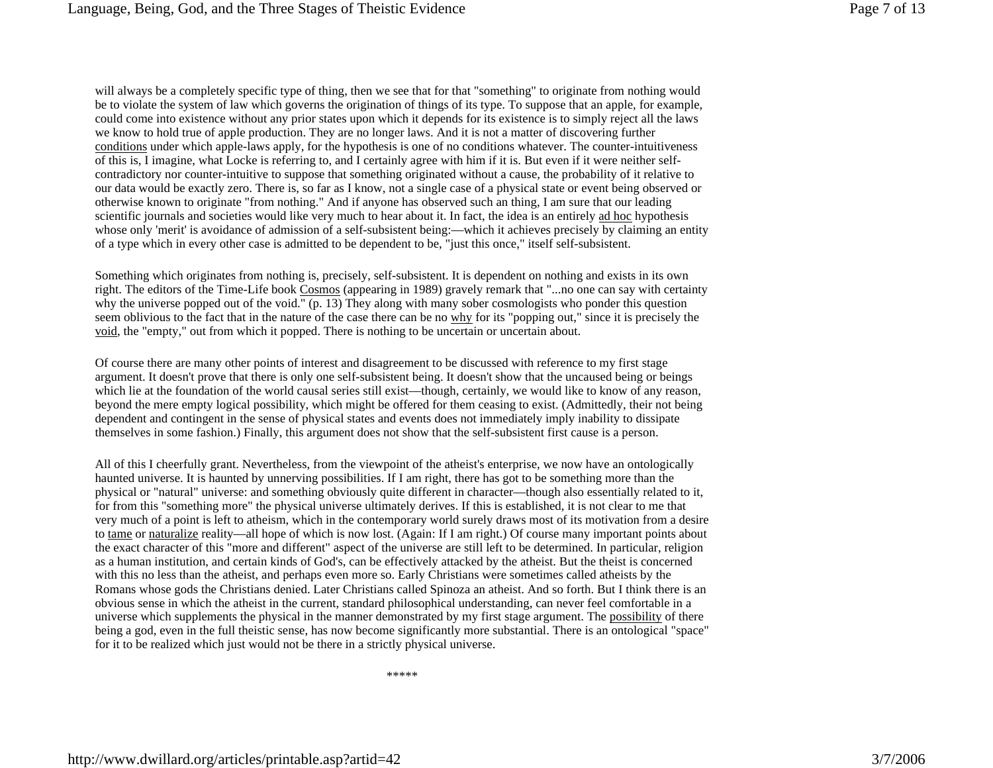will always be a completely specific type of thing, then we see that for that "something" to originate from nothing would be to violate the system of law which governs the origination of things of its type. To suppose that an apple, for example, could come into existence without any prior states upon which it depends for its existence is to simply reject all the laws we know to hold true of apple production. They are no longer laws. And it is not a matter of discovering further conditions under which apple-laws apply, for the hypothesis is one of no conditions whatever. The counter-intuitiveness of this is, I imagine, what Locke is referring to, and I certainly agree with him if it is. But even if it were neither selfcontradictory nor counter-intuitive to suppose that something originated without a cause, the probability of it relative to our data would be exactly zero. There is, so far as I know, not a single case of a physical state or event being observed or otherwise known to originate "from nothing." And if anyone has observed such an thing, I am sure that our leading scientific journals and societies would like very much to hear about it. In fact, the idea is an entirely ad hoc hypothesis whose only 'merit' is avoidance of admission of a self-subsistent being:—which it achieves precisely by claiming an entity of a type which in every other case is admitted to be dependent to be, "just this once," itself self-subsistent.

Something which originates from nothing is, precisely, self-subsistent. It is dependent on nothing and exists in its own right. The editors of the Time-Life book Cosmos (appearing in 1989) gravely remark that "...no one can say with certainty why the universe popped out of the void." (p. 13) They along with many sober cosmologists who ponder this question seem oblivious to the fact that in the nature of the case there can be no why for its "popping out," since it is precisely the void, the "empty," out from which it popped. There is nothing to be uncertain or uncertain about.

Of course there are many other points of interest and disagreement to be discussed with reference to my first stage argument. It doesn't prove that there is only one self-subsistent being. It doesn't show that the uncaused being or beings which lie at the foundation of the world causal series still exist—though, certainly, we would like to know of any reason, beyond the mere empty logical possibility, which might be offered for them ceasing to exist. (Admittedly, their not being dependent and contingent in the sense of physical states and events does not immediately imply inability to dissipate themselves in some fashion.) Finally, this argument does not show that the self-subsistent first cause is a person.

All of this I cheerfully grant. Nevertheless, from the viewpoint of the atheist's enterprise, we now have an ontologically haunted universe. It is haunted by unnerving possibilities. If I am right, there has got to be something more than the physical or "natural" universe: and something obviously quite different in character—though also essentially related to it, for from this "something more" the physical universe ultimately derives. If this is established, it is not clear to me that very much of a point is left to atheism, which in the contemporary world surely draws most of its motivation from a desire to tame or naturalize reality—all hope of which is now lost. (Again: If I am right.) Of course many important points about the exact character of this "more and different" aspect of the universe are still left to be determined. In particular, religion as a human institution, and certain kinds of God's, can be effectively attacked by the atheist. But the theist is concerned with this no less than the atheist, and perhaps even more so. Early Christians were sometimes called atheists by the Romans whose gods the Christians denied. Later Christians called Spinoza an atheist. And so forth. But I think there is an obvious sense in which the atheist in the current, standard philosophical understanding, can never feel comfortable in a universe which supplements the physical in the manner demonstrated by my first stage argument. The possibility of there being a god, even in the full theistic sense, has now become significantly more substantial. There is an ontological "space" for it to be realized which just would not be there in a strictly physical universe.

\*\*\*\*\*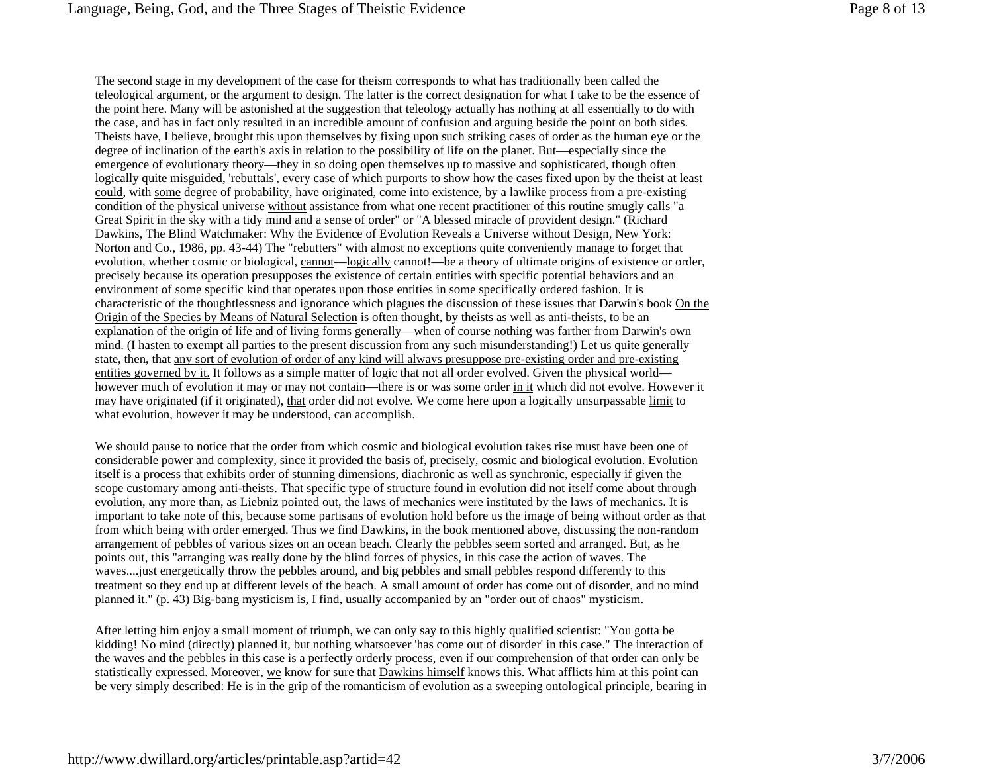The second stage in my development of the case for theism corresponds to what has traditionally been called the teleological argument, or the argument to design. The latter is the correct designation for what I take to be the essence of the point here. Many will be astonished at the suggestion that teleology actually has nothing at all essentially to do with the case, and has in fact only resulted in an incredible amount of confusion and arguing beside the point on both sides. Theists have, I believe, brought this upon themselves by fixing upon such striking cases of order as the human eye or the degree of inclination of the earth's axis in relation to the possibility of life on the planet. But—especially since the emergence of evolutionary theory—they in so doing open themselves up to massive and sophisticated, though often logically quite misguided, 'rebuttals', every case of which purports to show how the cases fixed upon by the theist at least could, with some degree of probability, have originated, come into existence, by a lawlike process from a pre-existing condition of the physical universe without assistance from what one recent practitioner of this routine smugly calls "a Great Spirit in the sky with a tidy mind and a sense of order" or "A blessed miracle of provident design." (Richard Dawkins, The Blind Watchmaker: Why the Evidence of Evolution Reveals a Universe without Design, New York: Norton and Co., 1986, pp. 43-44) The "rebutters" with almost no exceptions quite conveniently manage to forget that evolution, whether cosmic or biological, cannot—logically cannot!—be a theory of ultimate origins of existence or order, precisely because its operation presupposes the existence of certain entities with specific potential behaviors and an environment of some specific kind that operates upon those entities in some specifically ordered fashion. It is characteristic of the thoughtlessness and ignorance which plagues the discussion of these issues that Darwin's book On the Origin of the Species by Means of Natural Selection is often thought, by theists as well as anti-theists, to be an explanation of the origin of life and of living forms generally—when of course nothing was farther from Darwin's own mind. (I hasten to exempt all parties to the present discussion from any such misunderstanding!) Let us quite generally state, then, that any sort of evolution of order of any kind will always presuppose pre-existing order and pre-existing entities governed by it. It follows as a simple matter of logic that not all order evolved. Given the physical world however much of evolution it may or may not contain—there is or was some order in it which did not evolve. However it may have originated (if it originated), that order did not evolve. We come here upon a logically unsurpassable limit to what evolution, however it may be understood, can accomplish.

We should pause to notice that the order from which cosmic and biological evolution takes rise must have been one of considerable power and complexity, since it provided the basis of, precisely, cosmic and biological evolution. Evolution itself is a process that exhibits order of stunning dimensions, diachronic as well as synchronic, especially if given the scope customary among anti-theists. That specific type of structure found in evolution did not itself come about through evolution, any more than, as Liebniz pointed out, the laws of mechanics were instituted by the laws of mechanics. It is important to take note of this, because some partisans of evolution hold before us the image of being without order as that from which being with order emerged. Thus we find Dawkins, in the book mentioned above, discussing the non-random arrangement of pebbles of various sizes on an ocean beach. Clearly the pebbles seem sorted and arranged. But, as he points out, this "arranging was really done by the blind forces of physics, in this case the action of waves. The waves....just energetically throw the pebbles around, and big pebbles and small pebbles respond differently to this treatment so they end up at different levels of the beach. A small amount of order has come out of disorder, and no mind planned it." (p. 43) Big-bang mysticism is, I find, usually accompanied by an "order out of chaos" mysticism.

After letting him enjoy a small moment of triumph, we can only say to this highly qualified scientist: "You gotta be kidding! No mind (directly) planned it, but nothing whatsoever 'has come out of disorder' in this case." The interaction of the waves and the pebbles in this case is a perfectly orderly process, even if our comprehension of that order can only be statistically expressed. Moreover, we know for sure that Dawkins himself knows this. What afflicts him at this point can be very simply described: He is in the grip of the romanticism of evolution as a sweeping ontological principle, bearing in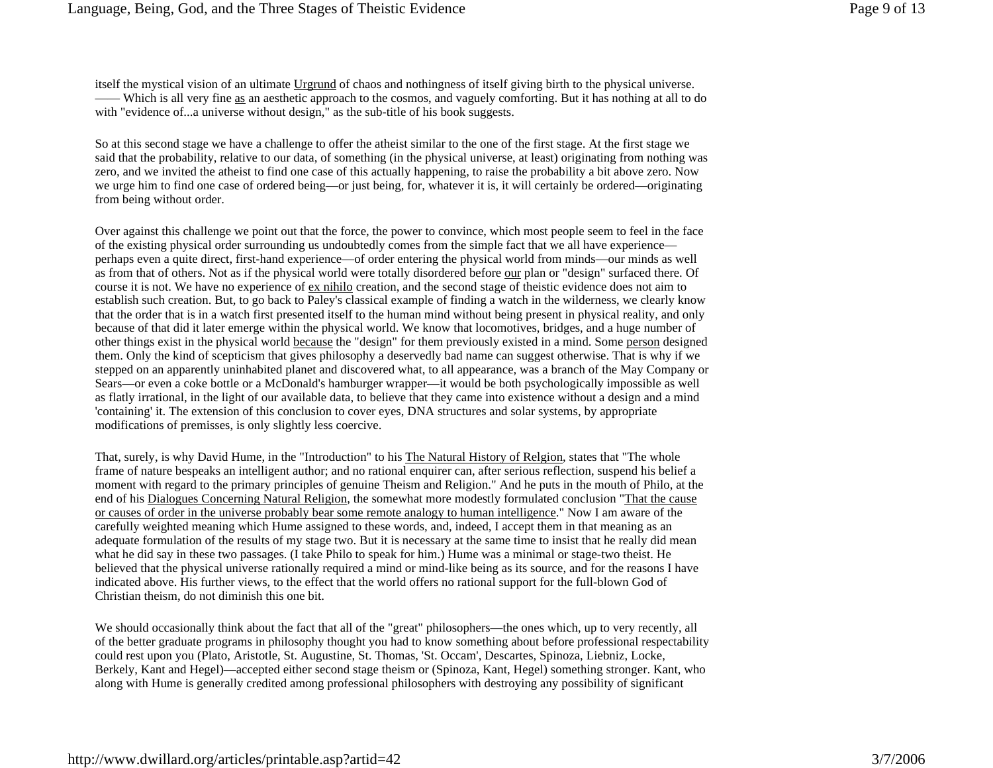itself the mystical vision of an ultimate Urgrund of chaos and nothingness of itself giving birth to the physical universe. —— Which is all very fine as an aesthetic approach to the cosmos, and vaguely comforting. But it has nothing at all to do with "evidence of...a universe without design," as the sub-title of his book suggests.

So at this second stage we have a challenge to offer the atheist similar to the one of the first stage. At the first stage we said that the probability, relative to our data, of something (in the physical universe, at least) originating from nothing was zero, and we invited the atheist to find one case of this actually happening, to raise the probability a bit above zero. Now we urge him to find one case of ordered being—or just being, for, whatever it is, it will certainly be ordered—originating from being without order.

Over against this challenge we point out that the force, the power to convince, which most people seem to feel in the face of the existing physical order surrounding us undoubtedly comes from the simple fact that we all have experience perhaps even a quite direct, first-hand experience—of order entering the physical world from minds—our minds as well as from that of others. Not as if the physical world were totally disordered before our plan or "design" surfaced there. Of course it is not. We have no experience of ex nihilo creation, and the second stage of theistic evidence does not aim to establish such creation. But, to go back to Paley's classical example of finding a watch in the wilderness, we clearly know that the order that is in a watch first presented itself to the human mind without being present in physical reality, and only because of that did it later emerge within the physical world. We know that locomotives, bridges, and a huge number of other things exist in the physical world because the "design" for them previously existed in a mind. Some person designed them. Only the kind of scepticism that gives philosophy a deservedly bad name can suggest otherwise. That is why if we stepped on an apparently uninhabited planet and discovered what, to all appearance, was a branch of the May Company or Sears—or even a coke bottle or a McDonald's hamburger wrapper—it would be both psychologically impossible as well as flatly irrational, in the light of our available data, to believe that they came into existence without a design and a mind 'containing' it. The extension of this conclusion to cover eyes, DNA structures and solar systems, by appropriate modifications of premisses, is only slightly less coercive.

That, surely, is why David Hume, in the "Introduction" to his The Natural History of Relgion, states that "The whole frame of nature bespeaks an intelligent author; and no rational enquirer can, after serious reflection, suspend his belief a moment with regard to the primary principles of genuine Theism and Religion." And he puts in the mouth of Philo, at the end of his Dialogues Concerning Natural Religion, the somewhat more modestly formulated conclusion "That the cause or causes of order in the universe probably bear some remote analogy to human intelligence." Now I am aware of the carefully weighted meaning which Hume assigned to these words, and, indeed, I accept them in that meaning as an adequate formulation of the results of my stage two. But it is necessary at the same time to insist that he really did mean what he did say in these two passages. (I take Philo to speak for him.) Hume was a minimal or stage-two theist. He believed that the physical universe rationally required a mind or mind-like being as its source, and for the reasons I have indicated above. His further views, to the effect that the world offers no rational support for the full-blown God of Christian theism, do not diminish this one bit.

We should occasionally think about the fact that all of the "great" philosophers—the ones which, up to very recently, all of the better graduate programs in philosophy thought you had to know something about before professional respectability could rest upon you (Plato, Aristotle, St. Augustine, St. Thomas, 'St. Occam', Descartes, Spinoza, Liebniz, Locke, Berkely, Kant and Hegel)—accepted either second stage theism or (Spinoza, Kant, Hegel) something stronger. Kant, who along with Hume is generally credited among professional philosophers with destroying any possibility of significant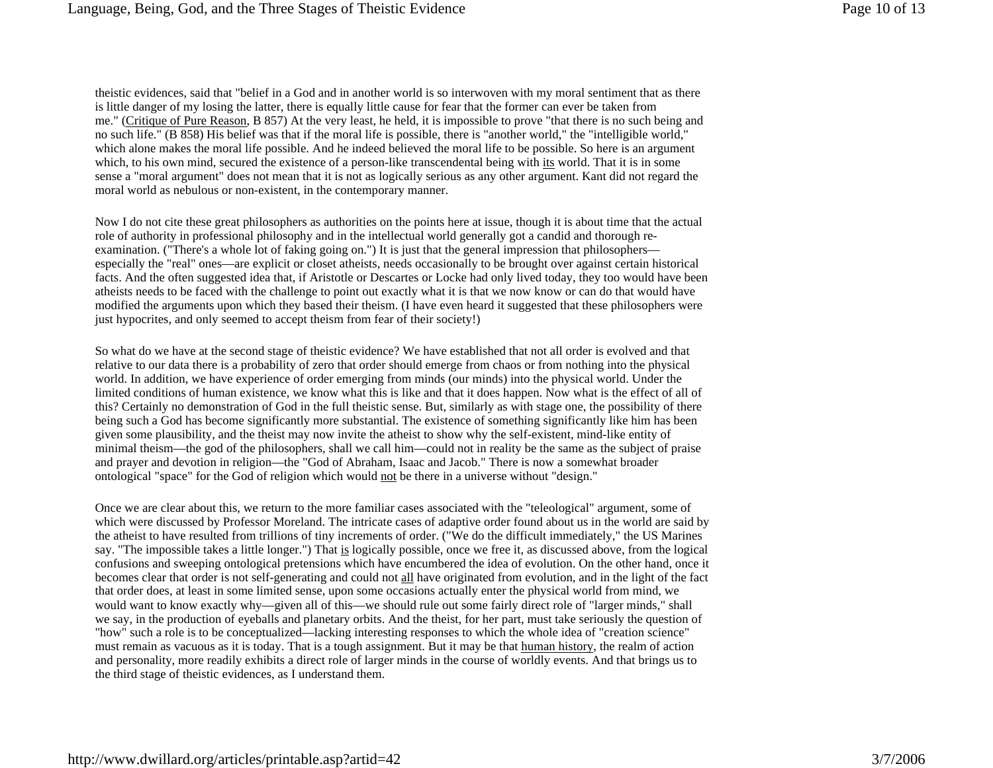theistic evidences, said that "belief in a God and in another world is so interwoven with my moral sentiment that as there is little danger of my losing the latter, there is equally little cause for fear that the former can ever be taken from me." (Critique of Pure Reason, B 857) At the very least, he held, it is impossible to prove "that there is no such being and no such life." (B 858) His belief was that if the moral life is possible, there is "another world," the "intelligible world," which alone makes the moral life possible. And he indeed believed the moral life to be possible. So here is an argument which, to his own mind, secured the existence of a person-like transcendental being with its world. That it is in some sense a "moral argument" does not mean that it is not as logically serious as any other argument. Kant did not regard the moral world as nebulous or non-existent, in the contemporary manner.

Now I do not cite these great philosophers as authorities on the points here at issue, though it is about time that the actual role of authority in professional philosophy and in the intellectual world generally got a candid and thorough reexamination. ("There's a whole lot of faking going on.") It is just that the general impression that philosophers especially the "real" ones—are explicit or closet atheists, needs occasionally to be brought over against certain historical facts. And the often suggested idea that, if Aristotle or Descartes or Locke had only lived today, they too would have been atheists needs to be faced with the challenge to point out exactly what it is that we now know or can do that would have modified the arguments upon which they based their theism. (I have even heard it suggested that these philosophers were just hypocrites, and only seemed to accept theism from fear of their society!)

So what do we have at the second stage of theistic evidence? We have established that not all order is evolved and that relative to our data there is a probability of zero that order should emerge from chaos or from nothing into the physical world. In addition, we have experience of order emerging from minds (our minds) into the physical world. Under the limited conditions of human existence, we know what this is like and that it does happen. Now what is the effect of all of this? Certainly no demonstration of God in the full theistic sense. But, similarly as with stage one, the possibility of there being such a God has become significantly more substantial. The existence of something significantly like him has been given some plausibility, and the theist may now invite the atheist to show why the self-existent, mind-like entity of minimal theism—the god of the philosophers, shall we call him—could not in reality be the same as the subject of praise and prayer and devotion in religion—the "God of Abraham, Isaac and Jacob." There is now a somewhat broader ontological "space" for the God of religion which would not be there in a universe without "design."

Once we are clear about this, we return to the more familiar cases associated with the "teleological" argument, some of which were discussed by Professor Moreland. The intricate cases of adaptive order found about us in the world are said by the atheist to have resulted from trillions of tiny increments of order. ("We do the difficult immediately," the US Marines say. "The impossible takes a little longer.") That is logically possible, once we free it, as discussed above, from the logical confusions and sweeping ontological pretensions which have encumbered the idea of evolution. On the other hand, once it becomes clear that order is not self-generating and could not all have originated from evolution, and in the light of the fact that order does, at least in some limited sense, upon some occasions actually enter the physical world from mind, we would want to know exactly why—given all of this—we should rule out some fairly direct role of "larger minds," shall we say, in the production of eyeballs and planetary orbits. And the theist, for her part, must take seriously the question of "how" such a role is to be conceptualized—lacking interesting responses to which the whole idea of "creation science" must remain as vacuous as it is today. That is a tough assignment. But it may be that human history, the realm of action and personality, more readily exhibits a direct role of larger minds in the course of worldly events. And that brings us to the third stage of theistic evidences, as I understand them.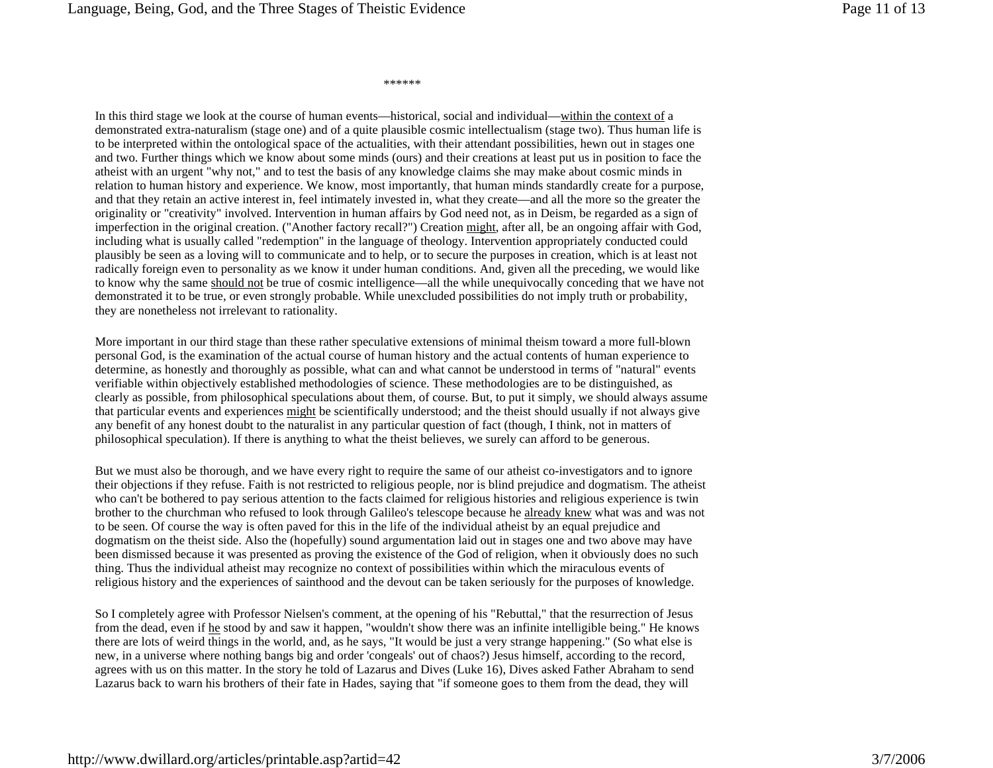\*\*\*\*\*\*

In this third stage we look at the course of human events—historical, social and individual—within the context of a demonstrated extra-naturalism (stage one) and of a quite plausible cosmic intellectualism (stage two). Thus human life is to be interpreted within the ontological space of the actualities, with their attendant possibilities, hewn out in stages one and two. Further things which we know about some minds (ours) and their creations at least put us in position to face the atheist with an urgent "why not," and to test the basis of any knowledge claims she may make about cosmic minds in relation to human history and experience. We know, most importantly, that human minds standardly create for a purpose, and that they retain an active interest in, feel intimately invested in, what they create—and all the more so the greater the originality or "creativity" involved. Intervention in human affairs by God need not, as in Deism, be regarded as a sign of imperfection in the original creation. ("Another factory recall?") Creation might, after all, be an ongoing affair with God, including what is usually called "redemption" in the language of theology. Intervention appropriately conducted could plausibly be seen as a loving will to communicate and to help, or to secure the purposes in creation, which is at least not radically foreign even to personality as we know it under human conditions. And, given all the preceding, we would like to know why the same should not be true of cosmic intelligence—all the while unequivocally conceding that we have not demonstrated it to be true, or even strongly probable. While unexcluded possibilities do not imply truth or probability, they are nonetheless not irrelevant to rationality.

More important in our third stage than these rather speculative extensions of minimal theism toward a more full-blown personal God, is the examination of the actual course of human history and the actual contents of human experience to determine, as honestly and thoroughly as possible, what can and what cannot be understood in terms of "natural" events verifiable within objectively established methodologies of science. These methodologies are to be distinguished, as clearly as possible, from philosophical speculations about them, of course. But, to put it simply, we should always assume that particular events and experiences might be scientifically understood; and the theist should usually if not always give any benefit of any honest doubt to the naturalist in any particular question of fact (though, I think, not in matters of philosophical speculation). If there is anything to what the theist believes, we surely can afford to be generous.

But we must also be thorough, and we have every right to require the same of our atheist co-investigators and to ignore their objections if they refuse. Faith is not restricted to religious people, nor is blind prejudice and dogmatism. The atheist who can't be bothered to pay serious attention to the facts claimed for religious histories and religious experience is twin brother to the churchman who refused to look through Galileo's telescope because he already knew what was and was not to be seen. Of course the way is often paved for this in the life of the individual atheist by an equal prejudice and dogmatism on the theist side. Also the (hopefully) sound argumentation laid out in stages one and two above may have been dismissed because it was presented as proving the existence of the God of religion, when it obviously does no such thing. Thus the individual atheist may recognize no context of possibilities within which the miraculous events of religious history and the experiences of sainthood and the devout can be taken seriously for the purposes of knowledge.

So I completely agree with Professor Nielsen's comment, at the opening of his "Rebuttal," that the resurrection of Jesus from the dead, even if he stood by and saw it happen, "wouldn't show there was an infinite intelligible being." He knows there are lots of weird things in the world, and, as he says, "It would be just a very strange happening." (So what else is new, in a universe where nothing bangs big and order 'congeals' out of chaos?) Jesus himself, according to the record, agrees with us on this matter. In the story he told of Lazarus and Dives (Luke 16), Dives asked Father Abraham to send Lazarus back to warn his brothers of their fate in Hades, saying that "if someone goes to them from the dead, they will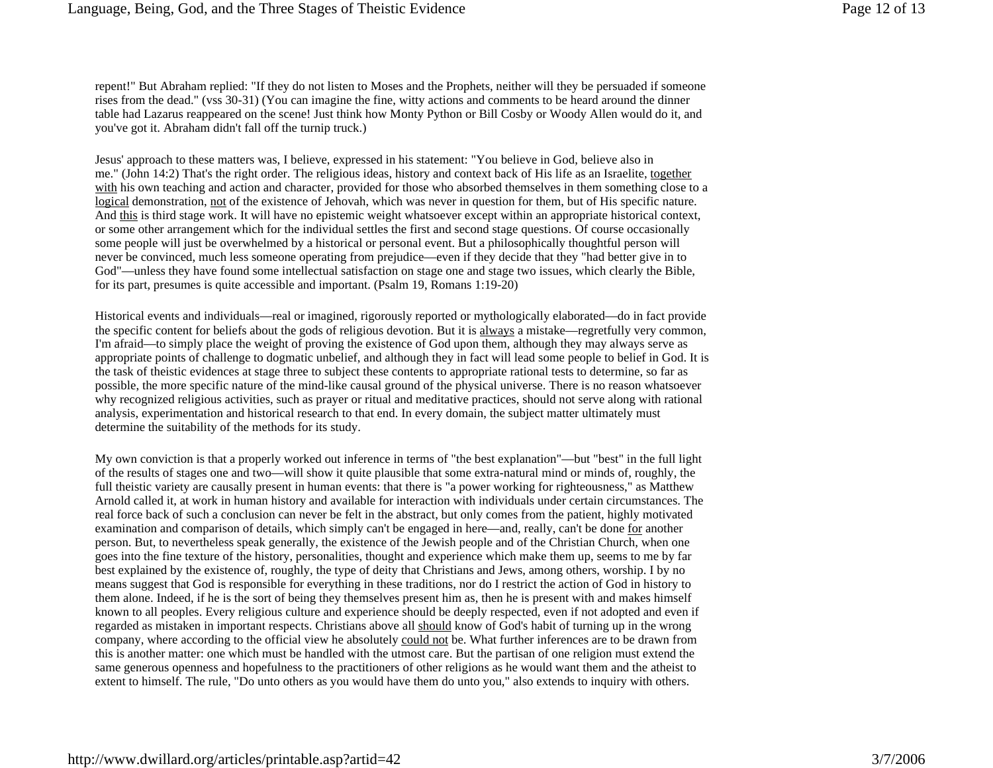repent!" But Abraham replied: "If they do not listen to Moses and the Prophets, neither will they be persuaded if someone rises from the dead." (vss 30-31) (You can imagine the fine, witty actions and comments to be heard around the dinner table had Lazarus reappeared on the scene! Just think how Monty Python or Bill Cosby or Woody Allen would do it, and you've got it. Abraham didn't fall off the turnip truck.)

Jesus' approach to these matters was, I believe, expressed in his statement: "You believe in God, believe also in me." (John 14:2) That's the right order. The religious ideas, history and context back of His life as an Israelite, together with his own teaching and action and character, provided for those who absorbed themselves in them something close to a logical demonstration, not of the existence of Jehovah, which was never in question for them, but of His specific nature. And this is third stage work. It will have no epistemic weight whatsoever except within an appropriate historical context, or some other arrangement which for the individual settles the first and second stage questions. Of course occasionally some people will just be overwhelmed by a historical or personal event. But a philosophically thoughtful person will never be convinced, much less someone operating from prejudice—even if they decide that they "had better give in to God"—unless they have found some intellectual satisfaction on stage one and stage two issues, which clearly the Bible, for its part, presumes is quite accessible and important. (Psalm 19, Romans 1:19-20)

Historical events and individuals—real or imagined, rigorously reported or mythologically elaborated—do in fact provide the specific content for beliefs about the gods of religious devotion. But it is always a mistake—regretfully very common, I'm afraid—to simply place the weight of proving the existence of God upon them, although they may always serve as appropriate points of challenge to dogmatic unbelief, and although they in fact will lead some people to belief in God. It is the task of theistic evidences at stage three to subject these contents to appropriate rational tests to determine, so far as possible, the more specific nature of the mind-like causal ground of the physical universe. There is no reason whatsoever why recognized religious activities, such as prayer or ritual and meditative practices, should not serve along with rational analysis, experimentation and historical research to that end. In every domain, the subject matter ultimately must determine the suitability of the methods for its study.

My own conviction is that a properly worked out inference in terms of "the best explanation"—but "best" in the full light of the results of stages one and two—will show it quite plausible that some extra-natural mind or minds of, roughly, the full theistic variety are causally present in human events: that there is "a power working for righteousness," as Matthew Arnold called it, at work in human history and available for interaction with individuals under certain circumstances. The real force back of such a conclusion can never be felt in the abstract, but only comes from the patient, highly motivated examination and comparison of details, which simply can't be engaged in here—and, really, can't be done for another person. But, to nevertheless speak generally, the existence of the Jewish people and of the Christian Church, when one goes into the fine texture of the history, personalities, thought and experience which make them up, seems to me by far best explained by the existence of, roughly, the type of deity that Christians and Jews, among others, worship. I by no means suggest that God is responsible for everything in these traditions, nor do I restrict the action of God in history to them alone. Indeed, if he is the sort of being they themselves present him as, then he is present with and makes himself known to all peoples. Every religious culture and experience should be deeply respected, even if not adopted and even if regarded as mistaken in important respects. Christians above all should know of God's habit of turning up in the wrong company, where according to the official view he absolutely could not be. What further inferences are to be drawn from this is another matter: one which must be handled with the utmost care. But the partisan of one religion must extend the same generous openness and hopefulness to the practitioners of other religions as he would want them and the atheist to extent to himself. The rule, "Do unto others as you would have them do unto you," also extends to inquiry with others.